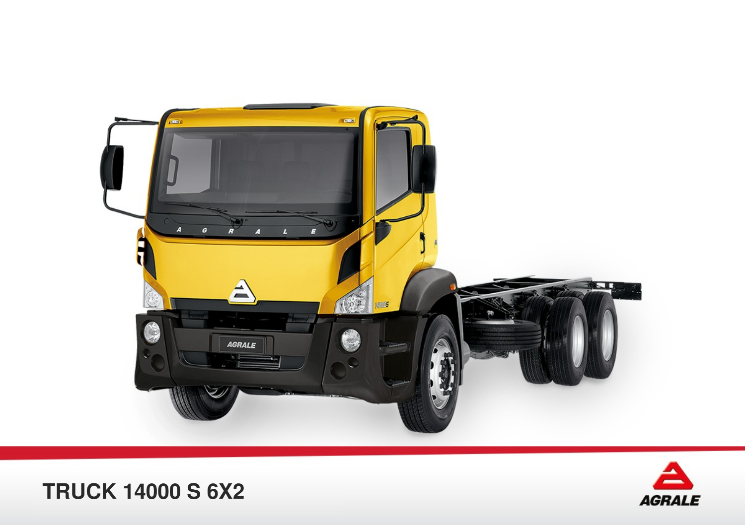



## **TRUCK 14000 S 6X2**